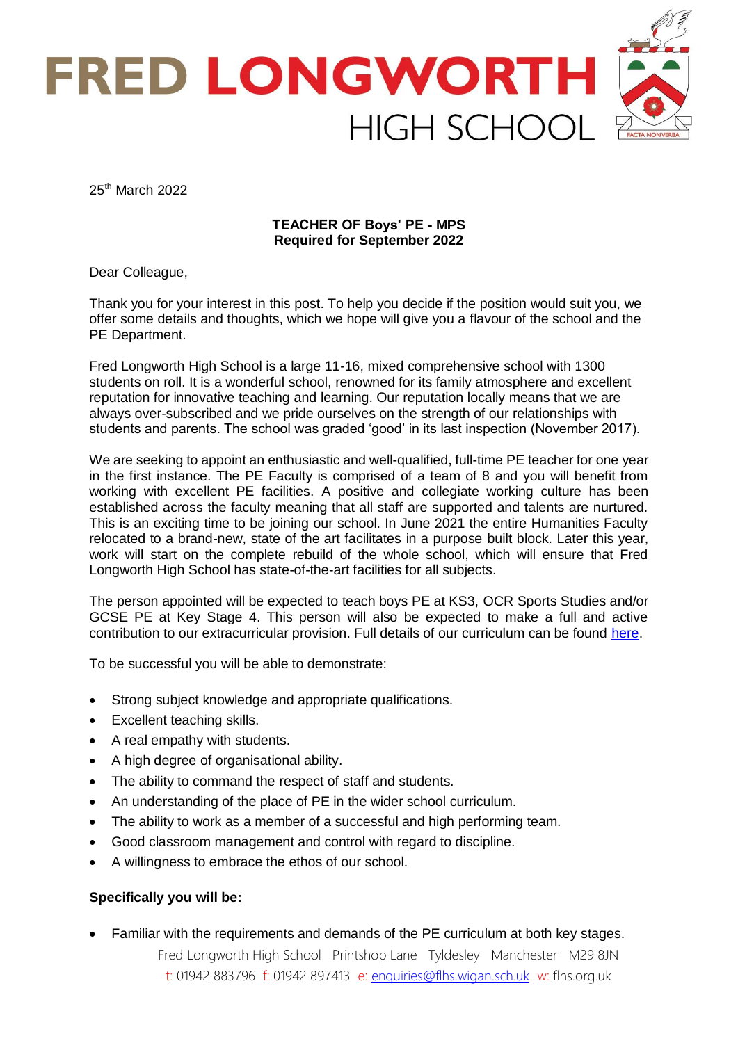

25<sup>th</sup> March 2022

# **TEACHER OF Boys' PE - MPS Required for September 2022**

Dear Colleague,

Thank you for your interest in this post. To help you decide if the position would suit you, we offer some details and thoughts, which we hope will give you a flavour of the school and the PE Department.

Fred Longworth High School is a large 11-16, mixed comprehensive school with 1300 students on roll. It is a wonderful school, renowned for its family atmosphere and excellent reputation for innovative teaching and learning. Our reputation locally means that we are always over-subscribed and we pride ourselves on the strength of our relationships with students and parents. The school was graded 'good' in its last inspection (November 2017).

We are seeking to appoint an enthusiastic and well-qualified, full-time PE teacher for one year in the first instance. The PE Faculty is comprised of a team of 8 and you will benefit from working with excellent PE facilities. A positive and collegiate working culture has been established across the faculty meaning that all staff are supported and talents are nurtured. This is an exciting time to be joining our school. In June 2021 the entire Humanities Faculty relocated to a brand-new, state of the art facilitates in a purpose built block. Later this year, work will start on the complete rebuild of the whole school, which will ensure that Fred Longworth High School has state-of-the-art facilities for all subjects.

The person appointed will be expected to teach boys PE at KS3, OCR Sports Studies and/or GCSE PE at Key Stage 4. This person will also be expected to make a full and active contribution to our extracurricular provision. Full details of our curriculum can be found [here.](https://flhs.org.uk/faculties/physical-education/)

To be successful you will be able to demonstrate:

- Strong subject knowledge and appropriate qualifications.
- Excellent teaching skills.
- A real empathy with students.
- A high degree of organisational ability.
- The ability to command the respect of staff and students.
- An understanding of the place of PE in the wider school curriculum.
- The ability to work as a member of a successful and high performing team.
- Good classroom management and control with regard to discipline.
- A willingness to embrace the ethos of our school.

# **Specifically you will be:**

Familiar with the requirements and demands of the PE curriculum at both key stages.

Fred Longworth High School Printshop Lane Tyldesley Manchester M29 8JN t: 01942 883796 f: 01942 897413 e: [enquiries@flhs.wigan.sch.uk](mailto:enquiries@flhs.wigan.sch.uk) w: flhs.org.uk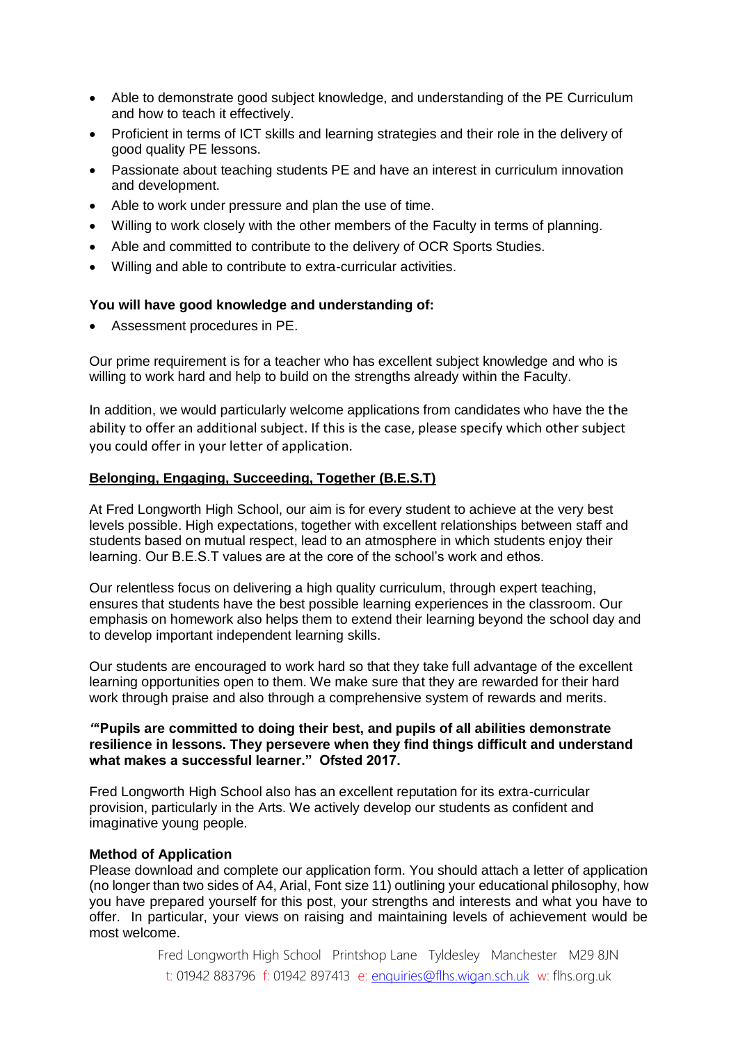- Able to demonstrate good subject knowledge, and understanding of the PE Curriculum and how to teach it effectively.
- Proficient in terms of ICT skills and learning strategies and their role in the delivery of good quality PE lessons.
- Passionate about teaching students PE and have an interest in curriculum innovation and development.
- Able to work under pressure and plan the use of time.
- Willing to work closely with the other members of the Faculty in terms of planning.
- Able and committed to contribute to the delivery of OCR Sports Studies.
- Willing and able to contribute to extra-curricular activities.

# **You will have good knowledge and understanding of:**

Assessment procedures in PE.

Our prime requirement is for a teacher who has excellent subject knowledge and who is willing to work hard and help to build on the strengths already within the Faculty.

In addition, we would particularly welcome applications from candidates who have the the ability to offer an additional subject. If this is the case, please specify which other subject you could offer in your letter of application.

# **Belonging, Engaging, Succeeding, Together (B.E.S.T)**

At Fred Longworth High School, our aim is for every student to achieve at the very best levels possible. High expectations, together with excellent relationships between staff and students based on mutual respect, lead to an atmosphere in which students enjoy their learning. Our B.E.S.T values are at the core of the school's work and ethos.

Our relentless focus on delivering a high quality curriculum, through expert teaching, ensures that students have the best possible learning experiences in the classroom. Our emphasis on homework also helps them to extend their learning beyond the school day and to develop important independent learning skills.

Our students are encouraged to work hard so that they take full advantage of the excellent learning opportunities open to them. We make sure that they are rewarded for their hard work through praise and also through a comprehensive system of rewards and merits.

### *"***'Pupils are committed to doing their best, and pupils of all abilities demonstrate resilience in lessons. They persevere when they find things difficult and understand what makes a successful learner." Ofsted 2017.**

Fred Longworth High School also has an excellent reputation for its extra-curricular provision, particularly in the Arts. We actively develop our students as confident and imaginative young people.

# **Method of Application**

Please download and complete our application form. You should attach a letter of application (no longer than two sides of A4, Arial, Font size 11) outlining your educational philosophy, how you have prepared yourself for this post, your strengths and interests and what you have to offer. In particular, your views on raising and maintaining levels of achievement would be most welcome.

> Fred Longworth High School Printshop Lane Tyldesley Manchester M29 8JN t: 01942 883796 f: 01942 897413 e: [enquiries@flhs.wigan.sch.uk](mailto:enquiries@flhs.wigan.sch.uk) w: flhs.org.uk